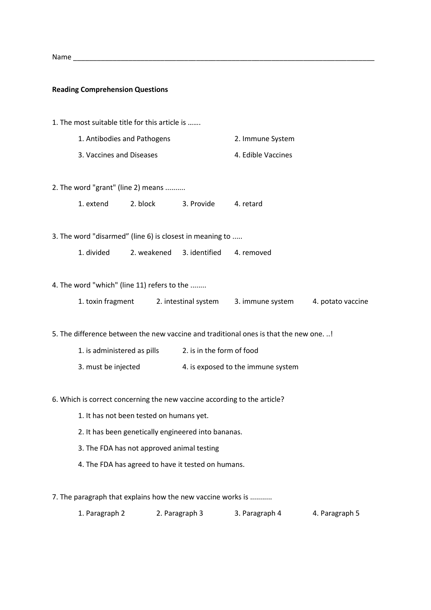| <b>Nam</b> |  |
|------------|--|
|            |  |

## **Reading Comprehension Questions**

- 1. The most suitable title for this article is …….
	- 1. Antibodies and Pathogens 2. Immune System
	- 3. Vaccines and Diseases 4. Edible Vaccines
- 2. The word "grant" (line 2) means ..........
	- 1. extend 2. block 3. Provide 4. retard

3. The word "disarmed" (line 6) is closest in meaning to .....

1. divided 2. weakened 3. identified 4. removed

4. The word "which" (line 11) refers to the ........

| 1. toxin fragment | 2. intestinal system | 3. immune system | 4. potato vaccine |
|-------------------|----------------------|------------------|-------------------|
|-------------------|----------------------|------------------|-------------------|

5. The difference between the new vaccine and traditional ones is that the new one. ..!

- 1. is administered as pills 2. is in the form of food
- 3. must be injected 4. is exposed to the immune system

## 6. Which is correct concerning the new vaccine according to the article?

- 1. It has not been tested on humans yet.
- 2. It has been genetically engineered into bananas.
- 3. The FDA has not approved animal testing
- 4. The FDA has agreed to have it tested on humans.
- 7. The paragraph that explains how the new vaccine works is ...........

| 1. Paragraph 2 | 2. Paragraph 3 | 3. Paragraph 4 | 4. Paragraph 5 |
|----------------|----------------|----------------|----------------|
|----------------|----------------|----------------|----------------|